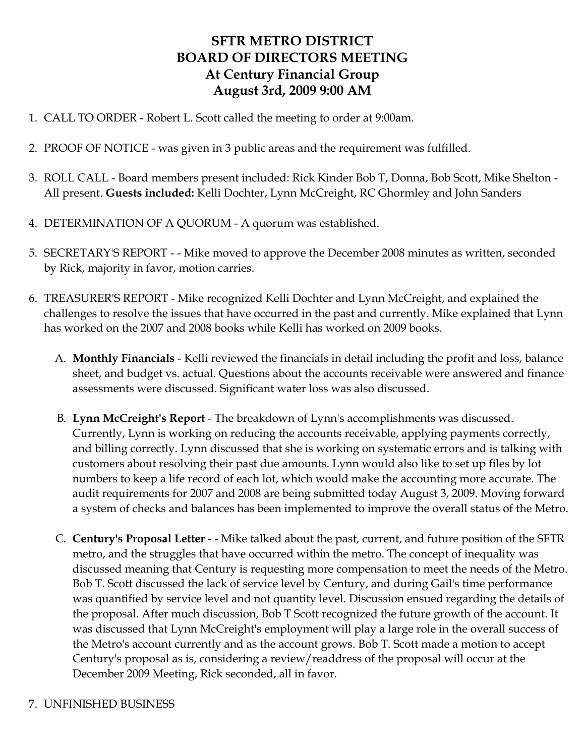# **SFTR METRO DISTRICT BOARD OF DIRECTORS MEETING At Century Financial Group August 3rd, 2009 9:00 AM**

- 1. CALL TO ORDER Robert L. Scott called the meeting to order at 9:00am.
- 2. PROOF OF NOTICE was given in 3 public areas and the requirement was fulfilled.
- 3. ROLL CALL Board members present included: Rick Kinder Bob T, Donna, Bob Scott, Mike Shelton All present. **Guests included:** Kelli Dochter, Lynn McCreight, RC Ghormley and John Sanders
- 4. DETERMINATION OF A QUORUM A quorum was established.
- 5. SECRETARY'S REPORT - Mike moved to approve the December 2008 minutes as written, seconded by Rick, majority in favor, motion carries.
- 6. TREASURER'S REPORT Mike recognized Kelli Dochter and Lynn McCreight, and explained the challenges to resolve the issues that have occurred in the past and currently. Mike explained that Lynn has worked on the 2007 and 2008 books while Kelli has worked on 2009 books.
	- A. **Monthly Financials** Kelli reviewed the financials in detail including the profit and loss, balance sheet, and budget vs. actual. Questions about the accounts receivable were answered and finance assessments were discussed. Significant water loss was also discussed.
	- B. **Lynn McCreight's Report** The breakdown of Lynn's accomplishments was discussed. Currently, Lynn is working on reducing the accounts receivable, applying payments correctly, and billing correctly. Lynn discussed that she is working on systematic errors and is talking with customers about resolving their past due amounts. Lynn would also like to set up files by lot numbers to keep a life record of each lot, which would make the accounting more accurate. The audit requirements for 2007 and 2008 are being submitted today August 3, 2009. Moving forward a system of checks and balances has been implemented to improve the overall status of the Metro.
	- C. **Century's Proposal Letter** - Mike talked about the past, current, and future position of the SFTR metro, and the struggles that have occurred within the metro. The concept of inequality was discussed meaning that Century is requesting more compensation to meet the needs of the Metro. Bob T. Scott discussed the lack of service level by Century, and during Gail's time performance was quantified by service level and not quantity level. Discussion ensued regarding the details of the proposal. After much discussion, Bob T Scott recognized the future growth of the account. It was discussed that Lynn McCreight's employment will play a large role in the overall success of the Metro's account currently and as the account grows. Bob T. Scott made a motion to accept Century's proposal as is, considering a review/readdress of the proposal will occur at the December 2009 Meeting, Rick seconded, all in favor.
- 7. UNFINISHED BUSINESS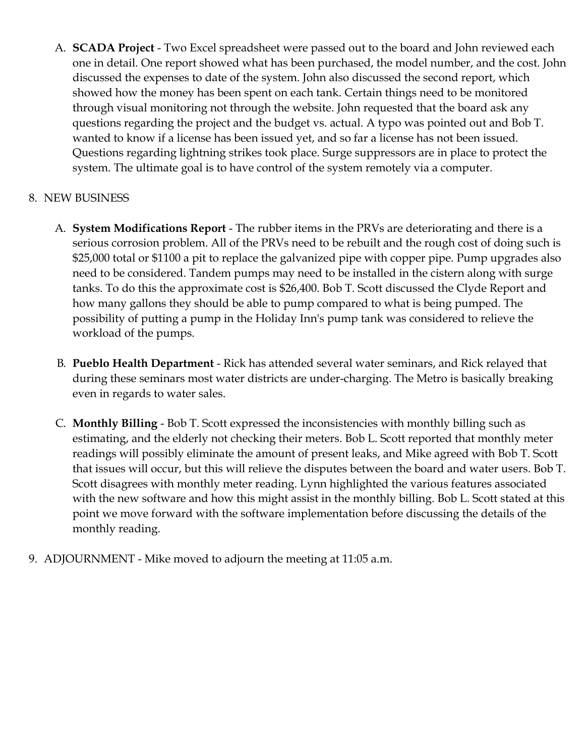A. **SCADA Project** - Two Excel spreadsheet were passed out to the board and John reviewed each one in detail. One report showed what has been purchased, the model number, and the cost. John discussed the expenses to date of the system. John also discussed the second report, which showed how the money has been spent on each tank. Certain things need to be monitored through visual monitoring not through the website. John requested that the board ask any questions regarding the project and the budget vs. actual. A typo was pointed out and Bob T. wanted to know if a license has been issued yet, and so far a license has not been issued. Questions regarding lightning strikes took place. Surge suppressors are in place to protect the system. The ultimate goal is to have control of the system remotely via a computer.

#### 8. NEW BUSINESS

- A. **System Modifications Report** The rubber items in the PRVs are deteriorating and there is a serious corrosion problem. All of the PRVs need to be rebuilt and the rough cost of doing such is \$25,000 total or \$1100 a pit to replace the galvanized pipe with copper pipe. Pump upgrades also need to be considered. Tandem pumps may need to be installed in the cistern along with surge tanks. To do this the approximate cost is \$26,400. Bob T. Scott discussed the Clyde Report and how many gallons they should be able to pump compared to what is being pumped. The possibility of putting a pump in the Holiday Inn's pump tank was considered to relieve the workload of the pumps.
- B. **Pueblo Health Department** Rick has attended several water seminars, and Rick relayed that during these seminars most water districts are under-charging. The Metro is basically breaking even in regards to water sales.
- C. **Monthly Billing** Bob T. Scott expressed the inconsistencies with monthly billing such as estimating, and the elderly not checking their meters. Bob L. Scott reported that monthly meter readings will possibly eliminate the amount of present leaks, and Mike agreed with Bob T. Scott that issues will occur, but this will relieve the disputes between the board and water users. Bob T. Scott disagrees with monthly meter reading. Lynn highlighted the various features associated with the new software and how this might assist in the monthly billing. Bob L. Scott stated at this point we move forward with the software implementation before discussing the details of the monthly reading.
- 9. ADJOURNMENT Mike moved to adjourn the meeting at 11:05 a.m.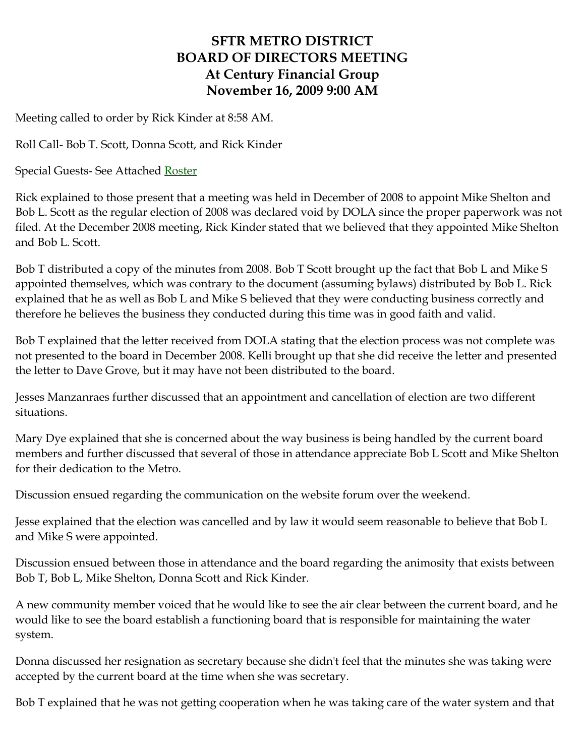# **SFTR METRO DISTRICT BOARD OF DIRECTORS MEETING At Century Financial Group November 16, 2009 9:00 AM**

Meeting called to order by Rick Kinder at 8:58 AM.

Roll Call- Bob T. Scott, Donna Scott, and Rick Kinder

Special Guests- See Attached [Roster](http://santafetrailranch.com/minutes/view.aspx?page=metro_09-11-16.htm#roster)

Rick explained to those present that a meeting was held in December of 2008 to appoint Mike Shelton and Bob L. Scott as the regular election of 2008 was declared void by DOLA since the proper paperwork was not filed. At the December 2008 meeting, Rick Kinder stated that we believed that they appointed Mike Shelton and Bob L. Scott.

Bob T distributed a copy of the minutes from 2008. Bob T Scott brought up the fact that Bob L and Mike S appointed themselves, which was contrary to the document (assuming bylaws) distributed by Bob L. Rick explained that he as well as Bob L and Mike S believed that they were conducting business correctly and therefore he believes the business they conducted during this time was in good faith and valid.

Bob T explained that the letter received from DOLA stating that the election process was not complete was not presented to the board in December 2008. Kelli brought up that she did receive the letter and presented the letter to Dave Grove, but it may have not been distributed to the board.

Jesses Manzanraes further discussed that an appointment and cancellation of election are two different situations.

Mary Dye explained that she is concerned about the way business is being handled by the current board members and further discussed that several of those in attendance appreciate Bob L Scott and Mike Shelton for their dedication to the Metro.

Discussion ensued regarding the communication on the website forum over the weekend.

Jesse explained that the election was cancelled and by law it would seem reasonable to believe that Bob L and Mike S were appointed.

Discussion ensued between those in attendance and the board regarding the animosity that exists between Bob T, Bob L, Mike Shelton, Donna Scott and Rick Kinder.

A new community member voiced that he would like to see the air clear between the current board, and he would like to see the board establish a functioning board that is responsible for maintaining the water system.

Donna discussed her resignation as secretary because she didn't feel that the minutes she was taking were accepted by the current board at the time when she was secretary.

Bob T explained that he was not getting cooperation when he was taking care of the water system and that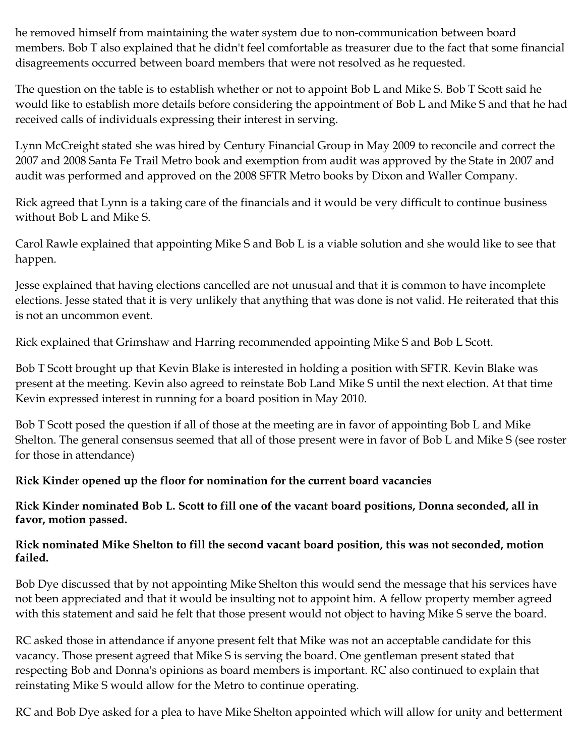he removed himself from maintaining the water system due to non-communication between board members. Bob T also explained that he didn't feel comfortable as treasurer due to the fact that some financial disagreements occurred between board members that were not resolved as he requested.

The question on the table is to establish whether or not to appoint Bob L and Mike S. Bob T Scott said he would like to establish more details before considering the appointment of Bob L and Mike S and that he had received calls of individuals expressing their interest in serving.

Lynn McCreight stated she was hired by Century Financial Group in May 2009 to reconcile and correct the 2007 and 2008 Santa Fe Trail Metro book and exemption from audit was approved by the State in 2007 and audit was performed and approved on the 2008 SFTR Metro books by Dixon and Waller Company.

Rick agreed that Lynn is a taking care of the financials and it would be very difficult to continue business without Bob L and Mike S.

Carol Rawle explained that appointing Mike S and Bob L is a viable solution and she would like to see that happen.

Jesse explained that having elections cancelled are not unusual and that it is common to have incomplete elections. Jesse stated that it is very unlikely that anything that was done is not valid. He reiterated that this is not an uncommon event.

Rick explained that Grimshaw and Harring recommended appointing Mike S and Bob L Scott.

Bob T Scott brought up that Kevin Blake is interested in holding a position with SFTR. Kevin Blake was present at the meeting. Kevin also agreed to reinstate Bob Land Mike S until the next election. At that time Kevin expressed interest in running for a board position in May 2010.

Bob T Scott posed the question if all of those at the meeting are in favor of appointing Bob L and Mike Shelton. The general consensus seemed that all of those present were in favor of Bob L and Mike S (see roster for those in attendance)

## **Rick Kinder opened up the floor for nomination for the current board vacancies**

**Rick Kinder nominated Bob L. Scott to fill one of the vacant board positions, Donna seconded, all in favor, motion passed.**

#### **Rick nominated Mike Shelton to fill the second vacant board position, this was not seconded, motion failed.**

Bob Dye discussed that by not appointing Mike Shelton this would send the message that his services have not been appreciated and that it would be insulting not to appoint him. A fellow property member agreed with this statement and said he felt that those present would not object to having Mike S serve the board.

RC asked those in attendance if anyone present felt that Mike was not an acceptable candidate for this vacancy. Those present agreed that Mike S is serving the board. One gentleman present stated that respecting Bob and Donna's opinions as board members is important. RC also continued to explain that reinstating Mike S would allow for the Metro to continue operating.

RC and Bob Dye asked for a plea to have Mike Shelton appointed which will allow for unity and betterment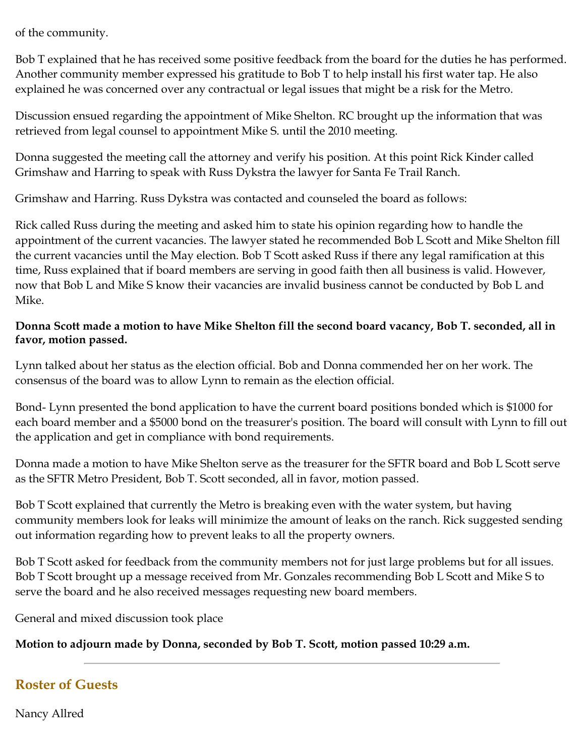of the community.

Bob T explained that he has received some positive feedback from the board for the duties he has performed. Another community member expressed his gratitude to Bob T to help install his first water tap. He also explained he was concerned over any contractual or legal issues that might be a risk for the Metro.

Discussion ensued regarding the appointment of Mike Shelton. RC brought up the information that was retrieved from legal counsel to appointment Mike S. until the 2010 meeting.

Donna suggested the meeting call the attorney and verify his position. At this point Rick Kinder called Grimshaw and Harring to speak with Russ Dykstra the lawyer for Santa Fe Trail Ranch.

Grimshaw and Harring. Russ Dykstra was contacted and counseled the board as follows:

Rick called Russ during the meeting and asked him to state his opinion regarding how to handle the appointment of the current vacancies. The lawyer stated he recommended Bob L Scott and Mike Shelton fill the current vacancies until the May election. Bob T Scott asked Russ if there any legal ramification at this time, Russ explained that if board members are serving in good faith then all business is valid. However, now that Bob L and Mike S know their vacancies are invalid business cannot be conducted by Bob L and Mike.

#### **Donna Scott made a motion to have Mike Shelton fill the second board vacancy, Bob T. seconded, all in favor, motion passed.**

Lynn talked about her status as the election official. Bob and Donna commended her on her work. The consensus of the board was to allow Lynn to remain as the election official.

Bond- Lynn presented the bond application to have the current board positions bonded which is \$1000 for each board member and a \$5000 bond on the treasurer's position. The board will consult with Lynn to fill out the application and get in compliance with bond requirements.

Donna made a motion to have Mike Shelton serve as the treasurer for the SFTR board and Bob L Scott serve as the SFTR Metro President, Bob T. Scott seconded, all in favor, motion passed.

Bob T Scott explained that currently the Metro is breaking even with the water system, but having community members look for leaks will minimize the amount of leaks on the ranch. Rick suggested sending out information regarding how to prevent leaks to all the property owners.

Bob T Scott asked for feedback from the community members not for just large problems but for all issues. Bob T Scott brought up a message received from Mr. Gonzales recommending Bob L Scott and Mike S to serve the board and he also received messages requesting new board members.

General and mixed discussion took place

## **Motion to adjourn made by Donna, seconded by Bob T. Scott, motion passed 10:29 a.m.**

# **Roster of Guests**

Nancy Allred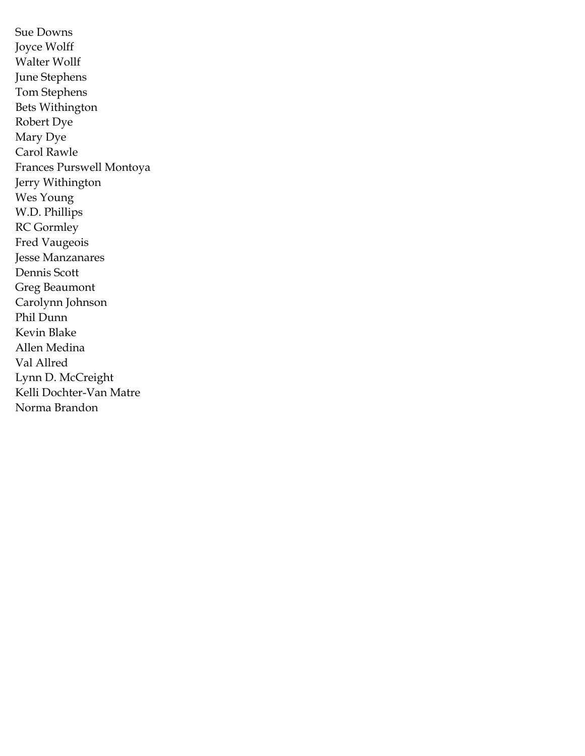Sue Downs Joyce Wolff Walter Wollf June Stephens Tom Stephens Bets Withington Robert Dye Mary Dye Carol Rawle Frances Purswell Montoya Jerry Withington Wes Young W.D. Phillips RC Gormley Fred Vaugeois Jesse Manzanares Dennis Scott Greg Beaumont Carolynn Johnson Phil Dunn Kevin Blake Allen Medina Val Allred Lynn D. McCreight Kelli Dochter-Van Matre Norma Brandon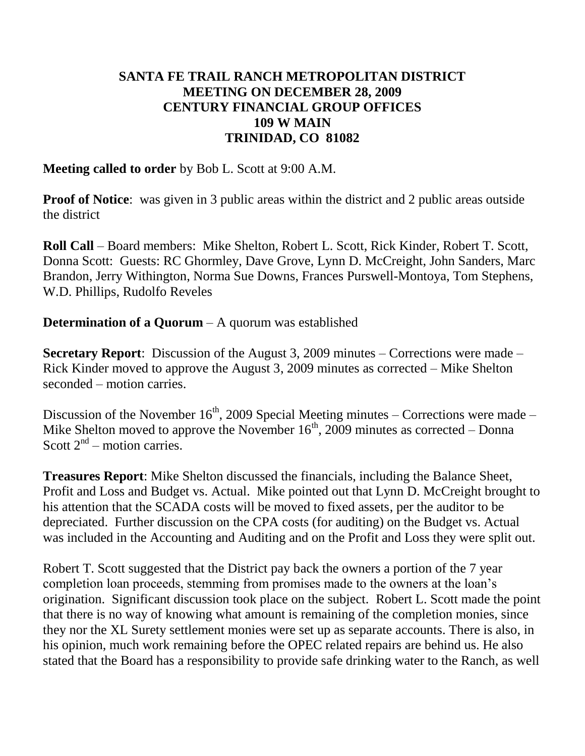## **SANTA FE TRAIL RANCH METROPOLITAN DISTRICT MEETING ON DECEMBER 28, 2009 CENTURY FINANCIAL GROUP OFFICES 109 W MAIN TRINIDAD, CO 81082**

### **Meeting called to order** by Bob L. Scott at 9:00 A.M.

**Proof of Notice**: was given in 3 public areas within the district and 2 public areas outside the district

**Roll Call** – Board members: Mike Shelton, Robert L. Scott, Rick Kinder, Robert T. Scott, Donna Scott: Guests: RC Ghormley, Dave Grove, Lynn D. McCreight, John Sanders, Marc Brandon, Jerry Withington, Norma Sue Downs, Frances Purswell-Montoya, Tom Stephens, W.D. Phillips, Rudolfo Reveles

## **Determination of a Quorum** – A quorum was established

**Secretary Report**: Discussion of the August 3, 2009 minutes – Corrections were made – Rick Kinder moved to approve the August 3, 2009 minutes as corrected – Mike Shelton seconded – motion carries.

Discussion of the November  $16<sup>th</sup>$ , 2009 Special Meeting minutes – Corrections were made – Mike Shelton moved to approve the November  $16<sup>th</sup>$ , 2009 minutes as corrected – Donna Scott  $2<sup>nd</sup>$  – motion carries.

**Treasures Report**: Mike Shelton discussed the financials, including the Balance Sheet, Profit and Loss and Budget vs. Actual. Mike pointed out that Lynn D. McCreight brought to his attention that the SCADA costs will be moved to fixed assets, per the auditor to be depreciated. Further discussion on the CPA costs (for auditing) on the Budget vs. Actual was included in the Accounting and Auditing and on the Profit and Loss they were split out.

Robert T. Scott suggested that the District pay back the owners a portion of the 7 year completion loan proceeds, stemming from promises made to the owners at the loan's origination. Significant discussion took place on the subject. Robert L. Scott made the point that there is no way of knowing what amount is remaining of the completion monies, since they nor the XL Surety settlement monies were set up as separate accounts. There is also, in his opinion, much work remaining before the OPEC related repairs are behind us. He also stated that the Board has a responsibility to provide safe drinking water to the Ranch, as well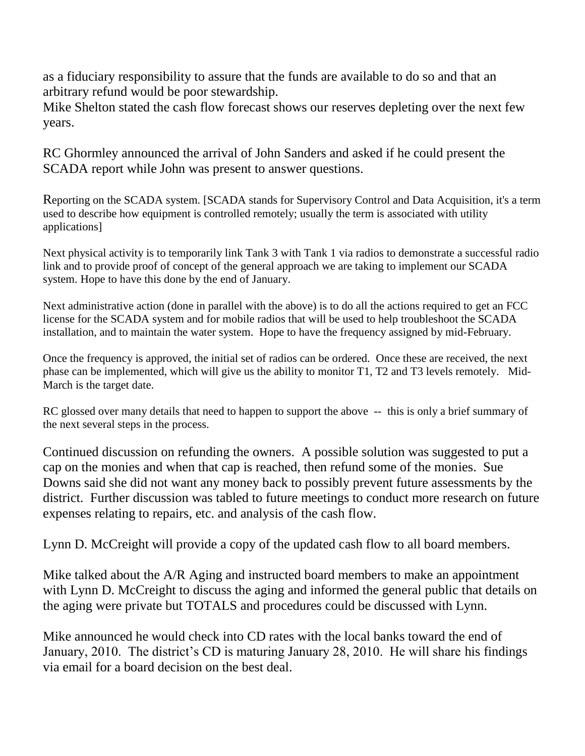as a fiduciary responsibility to assure that the funds are available to do so and that an arbitrary refund would be poor stewardship.

Mike Shelton stated the cash flow forecast shows our reserves depleting over the next few years.

RC Ghormley announced the arrival of John Sanders and asked if he could present the SCADA report while John was present to answer questions.

Reporting on the SCADA system. [SCADA stands for Supervisory Control and Data Acquisition, it's a term used to describe how equipment is controlled remotely; usually the term is associated with utility applications]

Next physical activity is to temporarily link Tank 3 with Tank 1 via radios to demonstrate a successful radio link and to provide proof of concept of the general approach we are taking to implement our SCADA system. Hope to have this done by the end of January.

Next administrative action (done in parallel with the above) is to do all the actions required to get an FCC license for the SCADA system and for mobile radios that will be used to help troubleshoot the SCADA installation, and to maintain the water system. Hope to have the frequency assigned by mid-February.

Once the frequency is approved, the initial set of radios can be ordered. Once these are received, the next phase can be implemented, which will give us the ability to monitor T1, T2 and T3 levels remotely. Mid-March is the target date.

RC glossed over many details that need to happen to support the above -- this is only a brief summary of the next several steps in the process.

Continued discussion on refunding the owners. A possible solution was suggested to put a cap on the monies and when that cap is reached, then refund some of the monies. Sue Downs said she did not want any money back to possibly prevent future assessments by the district. Further discussion was tabled to future meetings to conduct more research on future expenses relating to repairs, etc. and analysis of the cash flow.

Lynn D. McCreight will provide a copy of the updated cash flow to all board members.

Mike talked about the A/R Aging and instructed board members to make an appointment with Lynn D. McCreight to discuss the aging and informed the general public that details on the aging were private but TOTALS and procedures could be discussed with Lynn.

Mike announced he would check into CD rates with the local banks toward the end of January, 2010. The district's CD is maturing January 28, 2010. He will share his findings via email for a board decision on the best deal.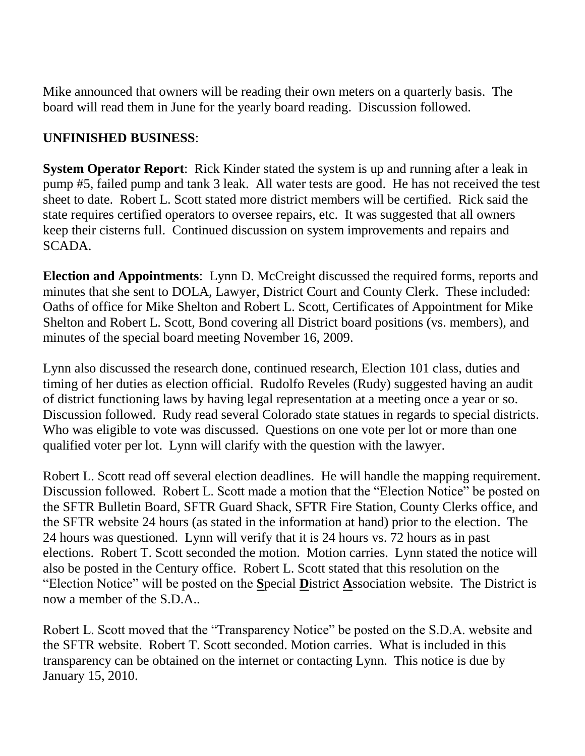Mike announced that owners will be reading their own meters on a quarterly basis. The board will read them in June for the yearly board reading. Discussion followed.

## **UNFINISHED BUSINESS**:

**System Operator Report**: Rick Kinder stated the system is up and running after a leak in pump #5, failed pump and tank 3 leak. All water tests are good. He has not received the test sheet to date. Robert L. Scott stated more district members will be certified. Rick said the state requires certified operators to oversee repairs, etc. It was suggested that all owners keep their cisterns full. Continued discussion on system improvements and repairs and SCADA.

**Election and Appointments**: Lynn D. McCreight discussed the required forms, reports and minutes that she sent to DOLA, Lawyer, District Court and County Clerk. These included: Oaths of office for Mike Shelton and Robert L. Scott, Certificates of Appointment for Mike Shelton and Robert L. Scott, Bond covering all District board positions (vs. members), and minutes of the special board meeting November 16, 2009.

Lynn also discussed the research done, continued research, Election 101 class, duties and timing of her duties as election official. Rudolfo Reveles (Rudy) suggested having an audit of district functioning laws by having legal representation at a meeting once a year or so. Discussion followed. Rudy read several Colorado state statues in regards to special districts. Who was eligible to vote was discussed. Questions on one vote per lot or more than one qualified voter per lot. Lynn will clarify with the question with the lawyer.

Robert L. Scott read off several election deadlines. He will handle the mapping requirement. Discussion followed. Robert L. Scott made a motion that the "Election Notice" be posted on the SFTR Bulletin Board, SFTR Guard Shack, SFTR Fire Station, County Clerks office, and the SFTR website 24 hours (as stated in the information at hand) prior to the election. The 24 hours was questioned. Lynn will verify that it is 24 hours vs. 72 hours as in past elections. Robert T. Scott seconded the motion. Motion carries. Lynn stated the notice will also be posted in the Century office. Robert L. Scott stated that this resolution on the "Election Notice" will be posted on the **S**pecial **D**istrict **A**ssociation website. The District is now a member of the S.D.A..

Robert L. Scott moved that the "Transparency Notice" be posted on the S.D.A. website and the SFTR website. Robert T. Scott seconded. Motion carries. What is included in this transparency can be obtained on the internet or contacting Lynn. This notice is due by January 15, 2010.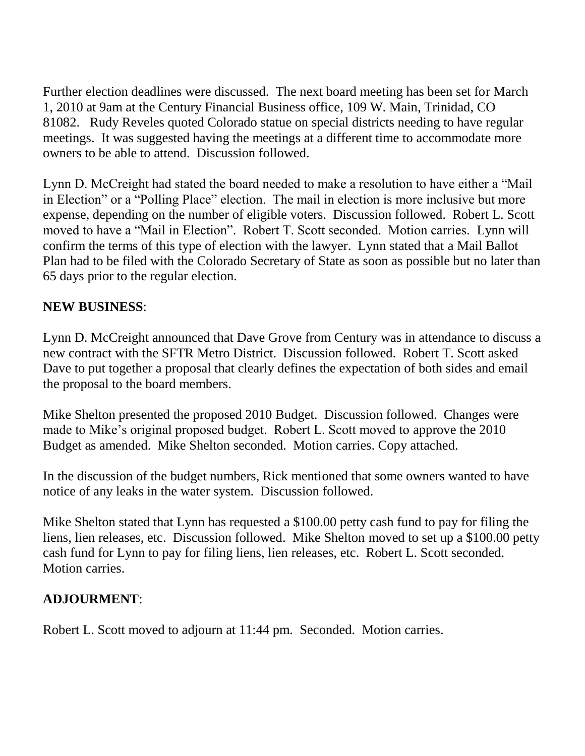Further election deadlines were discussed. The next board meeting has been set for March 1, 2010 at 9am at the Century Financial Business office, 109 W. Main, Trinidad, CO 81082. Rudy Reveles quoted Colorado statue on special districts needing to have regular meetings. It was suggested having the meetings at a different time to accommodate more owners to be able to attend. Discussion followed.

Lynn D. McCreight had stated the board needed to make a resolution to have either a "Mail in Election" or a "Polling Place" election. The mail in election is more inclusive but more expense, depending on the number of eligible voters. Discussion followed. Robert L. Scott moved to have a "Mail in Election". Robert T. Scott seconded. Motion carries. Lynn will confirm the terms of this type of election with the lawyer. Lynn stated that a Mail Ballot Plan had to be filed with the Colorado Secretary of State as soon as possible but no later than 65 days prior to the regular election.

## **NEW BUSINESS**:

Lynn D. McCreight announced that Dave Grove from Century was in attendance to discuss a new contract with the SFTR Metro District. Discussion followed. Robert T. Scott asked Dave to put together a proposal that clearly defines the expectation of both sides and email the proposal to the board members.

Mike Shelton presented the proposed 2010 Budget. Discussion followed. Changes were made to Mike's original proposed budget. Robert L. Scott moved to approve the 2010 Budget as amended. Mike Shelton seconded. Motion carries. Copy attached.

In the discussion of the budget numbers, Rick mentioned that some owners wanted to have notice of any leaks in the water system. Discussion followed.

Mike Shelton stated that Lynn has requested a \$100.00 petty cash fund to pay for filing the liens, lien releases, etc. Discussion followed. Mike Shelton moved to set up a \$100.00 petty cash fund for Lynn to pay for filing liens, lien releases, etc. Robert L. Scott seconded. Motion carries.

## **ADJOURMENT**:

Robert L. Scott moved to adjourn at 11:44 pm. Seconded. Motion carries.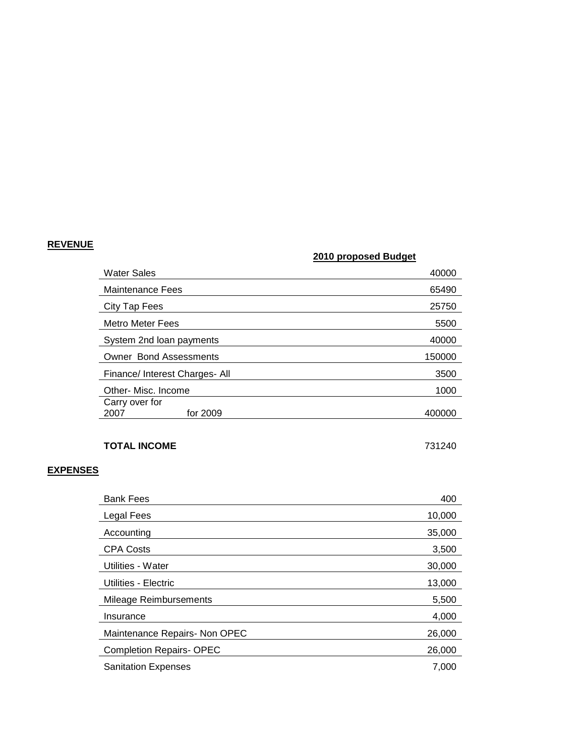#### **REVENUE**

#### **2010 proposed Budget**

| <b>Water Sales</b>                 | 40000  |
|------------------------------------|--------|
| <b>Maintenance Fees</b>            | 65490  |
| City Tap Fees                      | 25750  |
| <b>Metro Meter Fees</b>            | 5500   |
| System 2nd loan payments           | 40000  |
| <b>Owner Bond Assessments</b>      | 150000 |
| Finance/ Interest Charges- All     | 3500   |
| Other- Misc. Income                | 1000   |
| Carry over for<br>for 2009<br>2007 | 400000 |

#### **TOTAL INCOME** 731240

#### **EXPENSES**

| <b>Bank Fees</b>               | 400    |
|--------------------------------|--------|
| Legal Fees                     | 10,000 |
| Accounting                     | 35,000 |
| <b>CPA Costs</b>               | 3,500  |
| Utilities - Water              | 30,000 |
| Utilities - Electric           | 13,000 |
| Mileage Reimbursements         | 5,500  |
| Insurance                      | 4,000  |
| Maintenance Repairs- Non OPEC  | 26,000 |
| <b>Completion Repairs-OPEC</b> | 26,000 |
| <b>Sanitation Expenses</b>     | 7,000  |